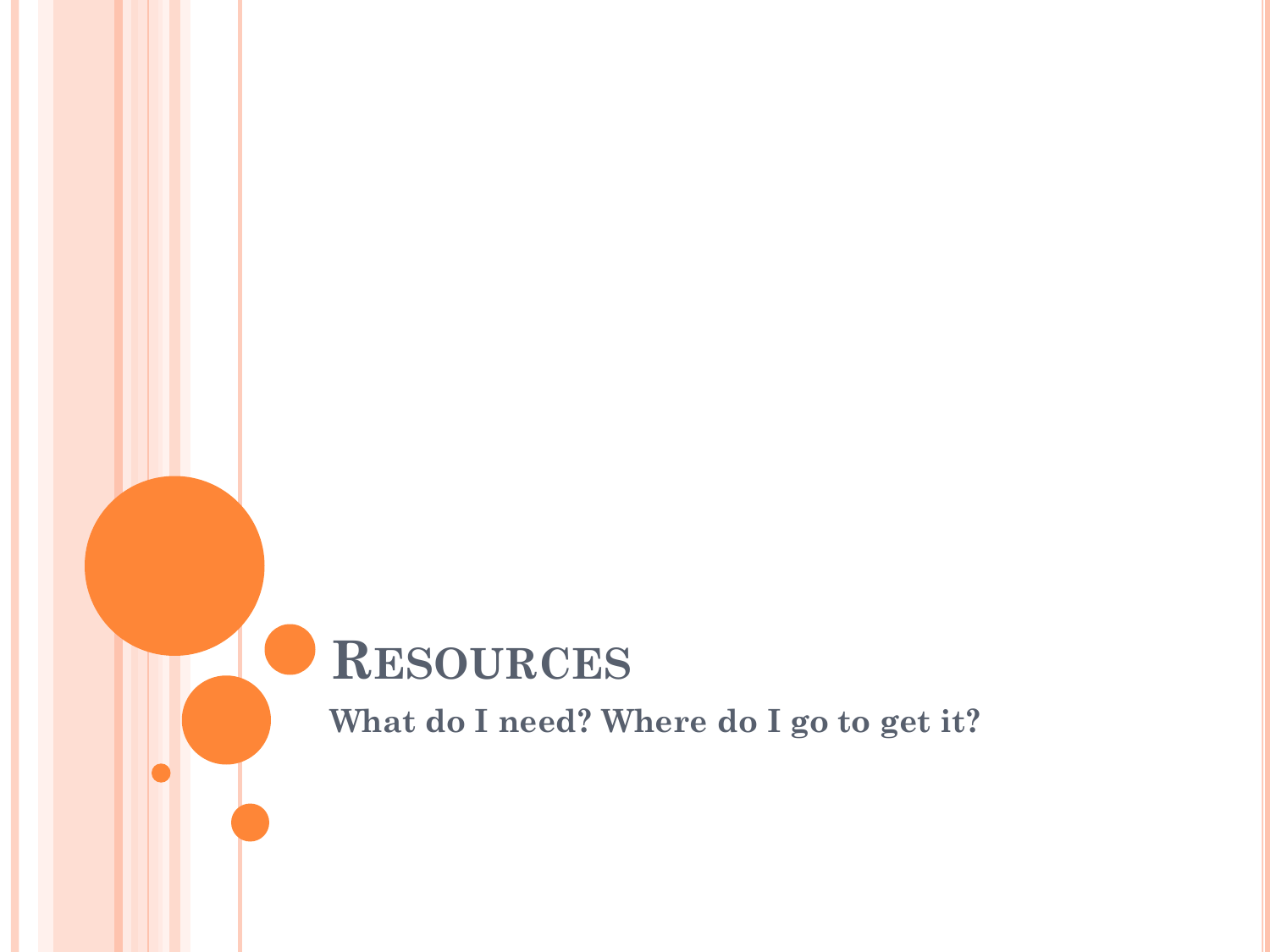## **RESOURCES**

**What do I need? Where do I go to get it?**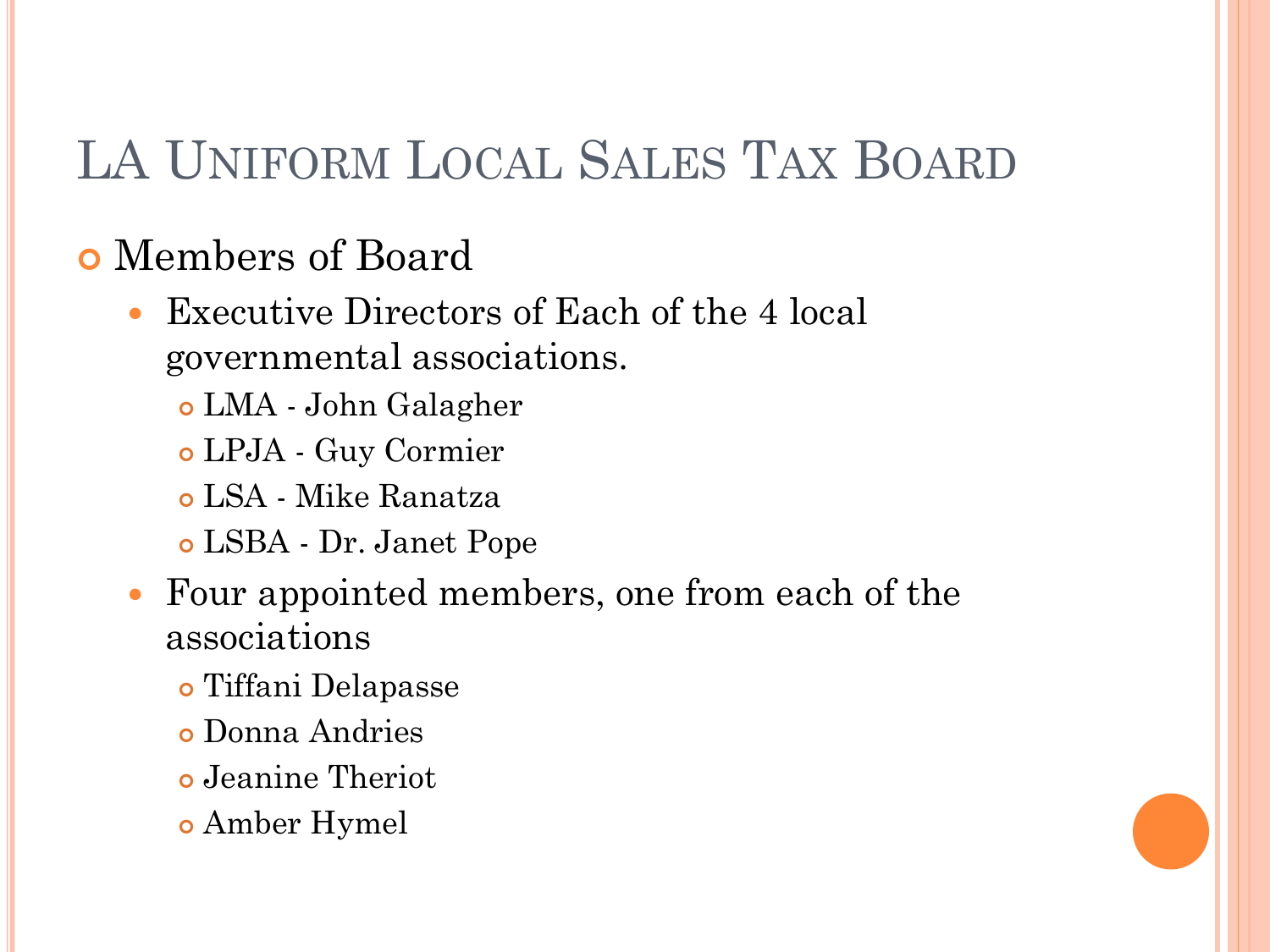# LA UNIFORM LOCAL SALES TAX BOARD

## Members of Board

- Executive Directors of Each of the 4 local governmental associations.
	- LMA John Galagher
	- LPJA Guy Cormier
	- LSA Mike Ranatza
	- LSBA Dr. Janet Pope
- Four appointed members, one from each of the associations
	- Tiffani Delapasse
	- Donna Andries
	- Jeanine Theriot
	- Amber Hymel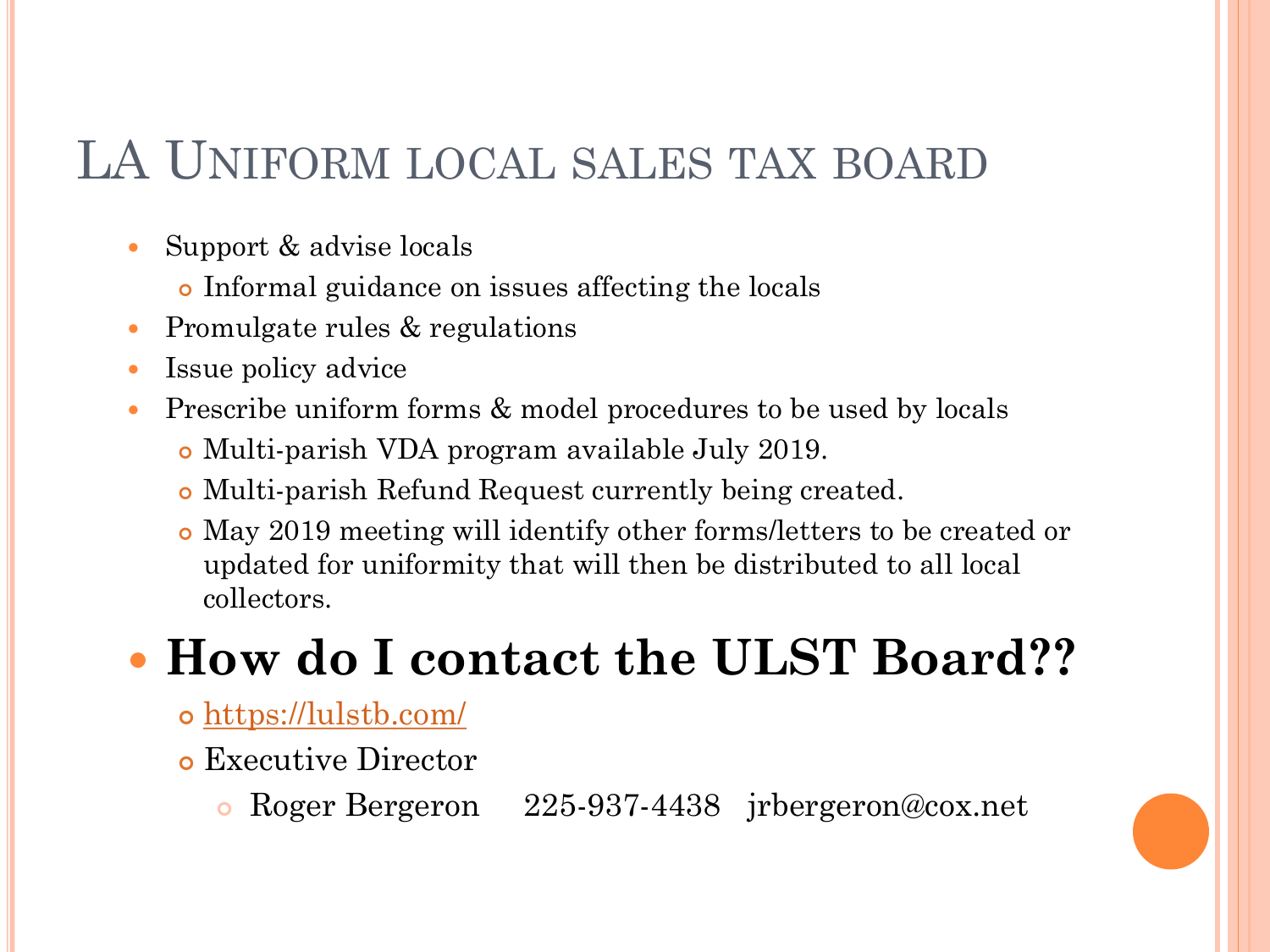## LA UNIFORM LOCAL SALES TAX BOARD

- Support & advise locals
	- Informal guidance on issues affecting the locals
- Promulgate rules & regulations
- Issue policy advice
- Prescribe uniform forms & model procedures to be used by locals
	- Multi-parish VDA program available July 2019.
	- Multi-parish Refund Request currently being created.
	- May 2019 meeting will identify other forms/letters to be created or updated for uniformity that will then be distributed to all local collectors.

# **How do I contact the ULST Board??**

- <https://lulstb.com/>
- Executive Director
	- Roger Bergeron 225-937-4438 jrbergeron@cox.net

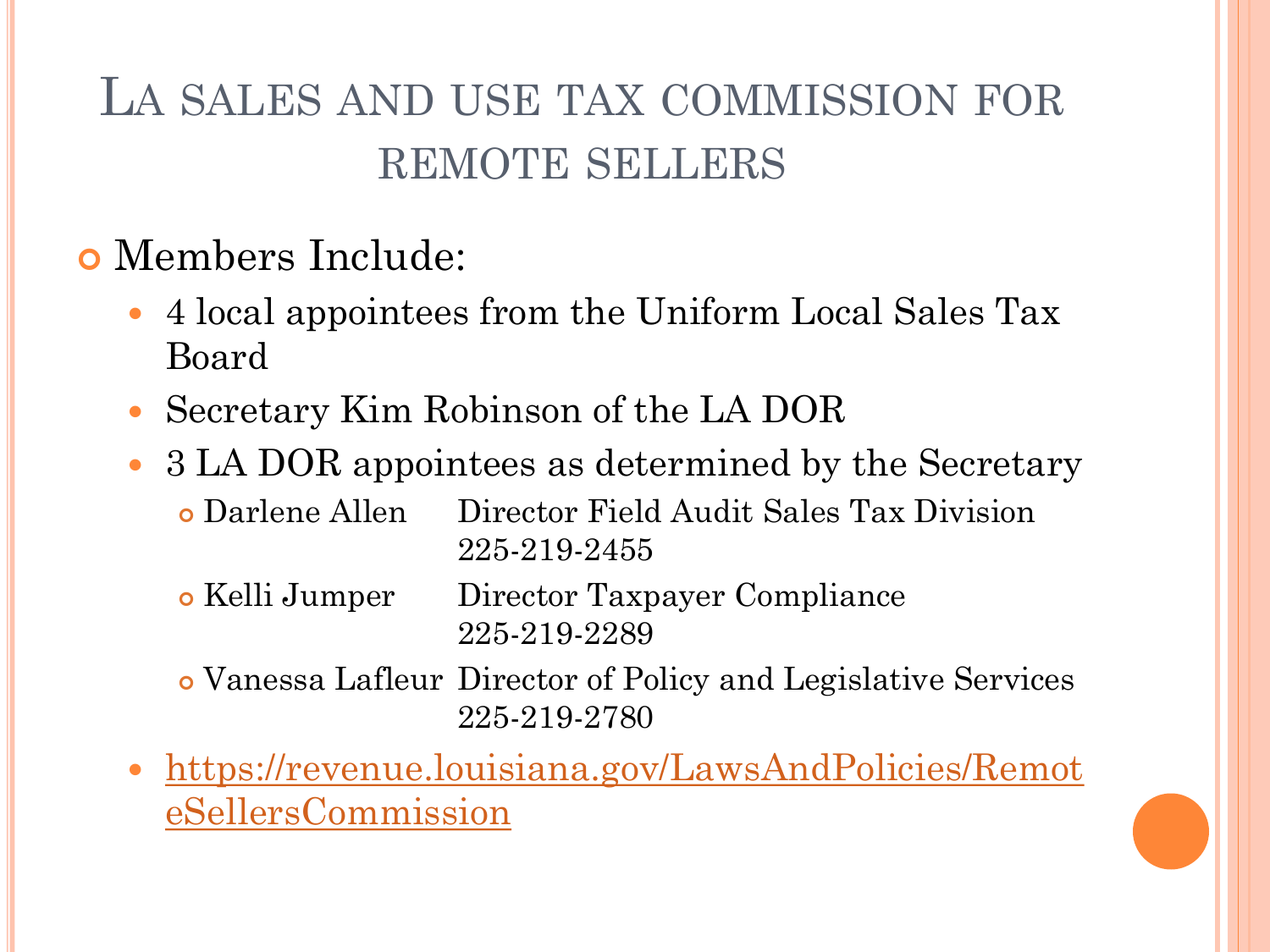# LA SALES AND USE TAX COMMISSION FOR REMOTE SELLERS

- Members Include:
	- 4 local appointees from the Uniform Local Sales Tax Board
	- Secretary Kim Robinson of the LA DOR
	- 3 LA DOR appointees as determined by the Secretary
		- Darlene Allen Director Field Audit Sales Tax Division 225-219-2455
		- Kelli Jumper Director Taxpayer Compliance 225-219-2289
		- Vanessa Lafleur Director of Policy and Legislative Services 225-219-2780
	- [https://revenue.louisiana.gov/LawsAndPolicies/Remot](https://revenue.louisiana.gov/LawsAndPolicies/RemoteSellersCommission) eSellersCommission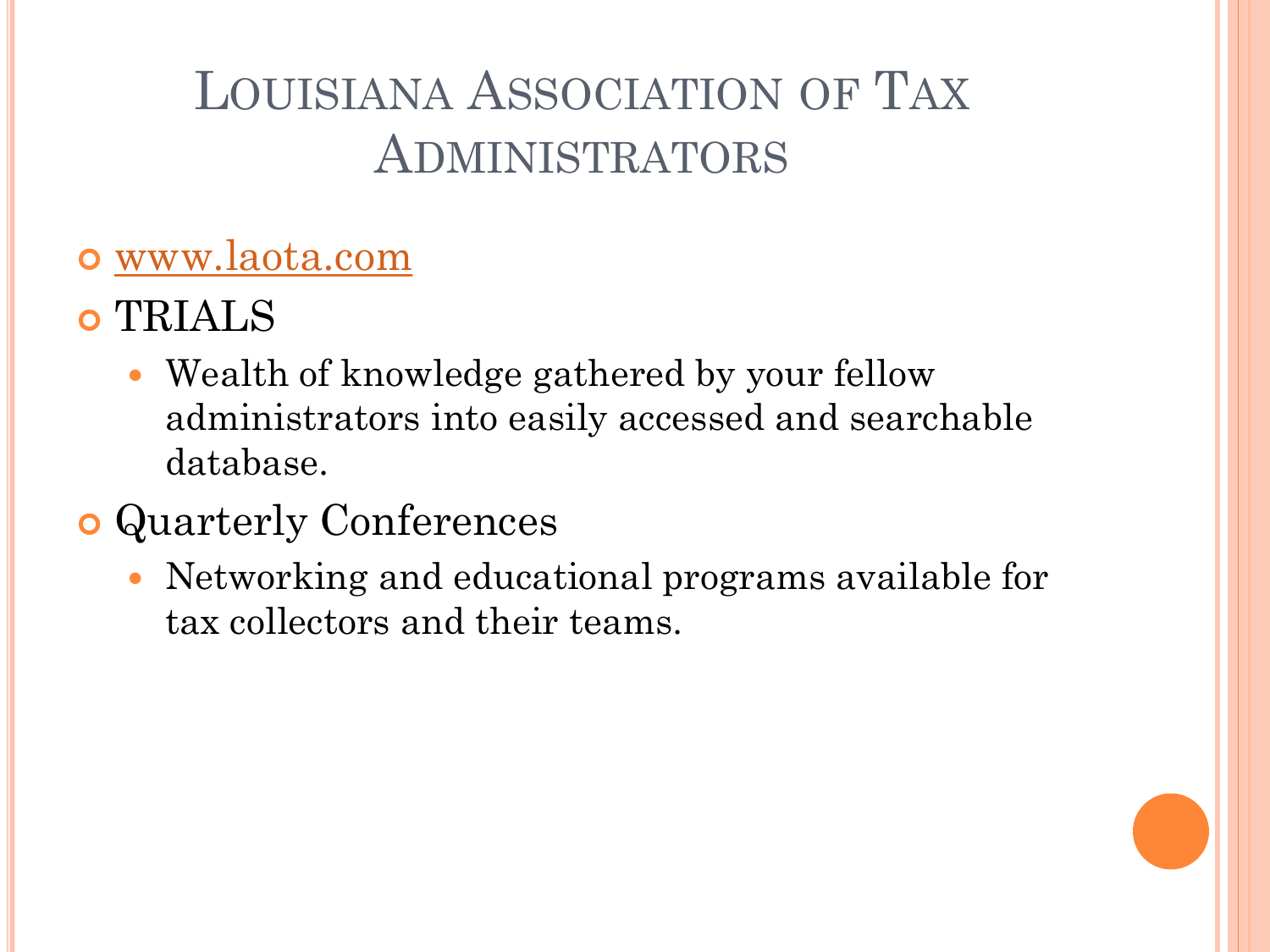# LOUISIANA ASSOCIATION OF TAX ADMINISTRATORS

### [www.laota.com](http://www.laota.com/)

- TRIALS
	- Wealth of knowledge gathered by your fellow administrators into easily accessed and searchable database.

## Quarterly Conferences

 Networking and educational programs available for tax collectors and their teams.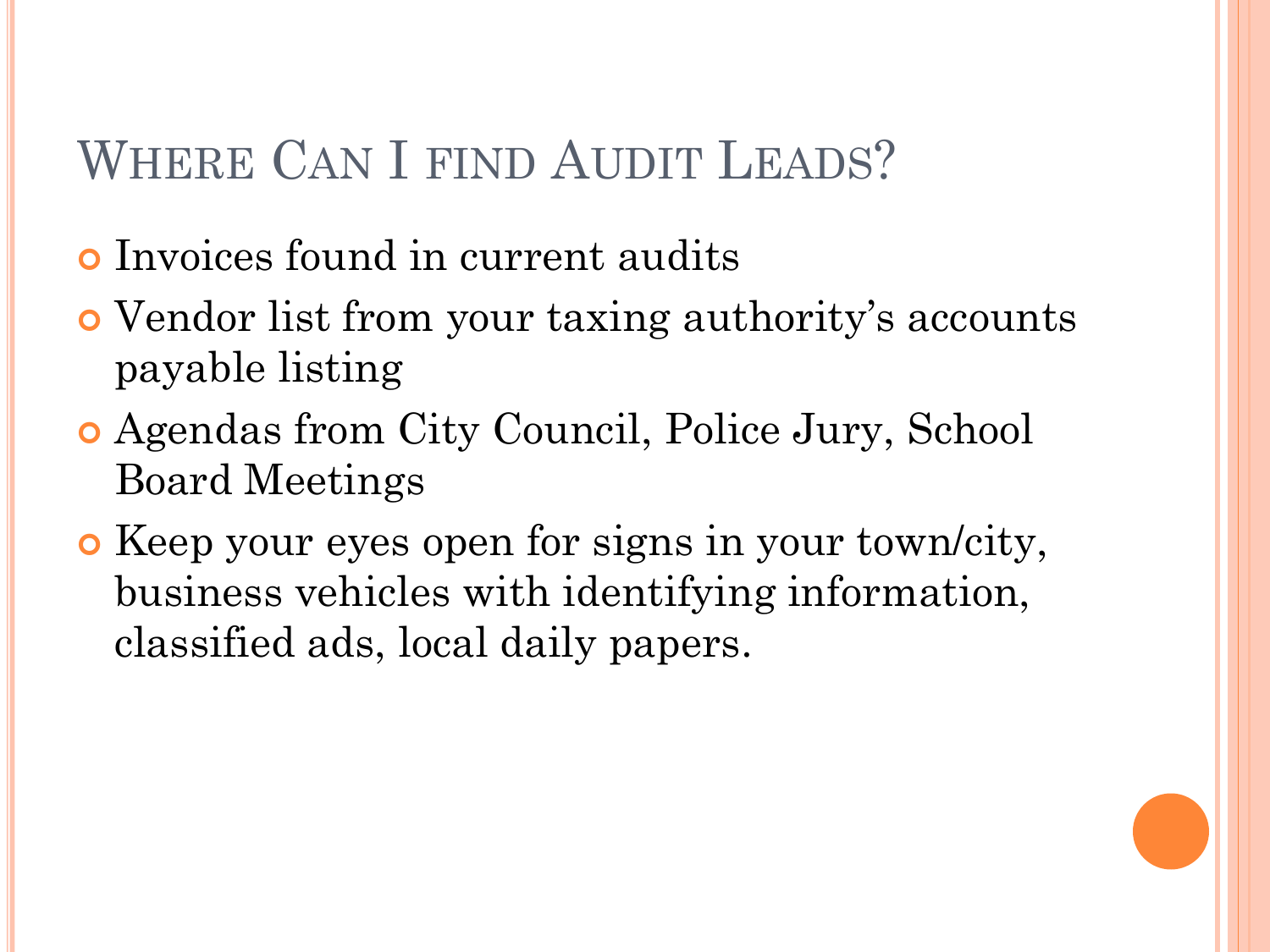# WHERE CAN I FIND AUDIT LEADS?

- Invoices found in current audits
- Vendor list from your taxing authority's accounts payable listing
- Agendas from City Council, Police Jury, School Board Meetings
- Keep your eyes open for signs in your town/city, business vehicles with identifying information, classified ads, local daily papers.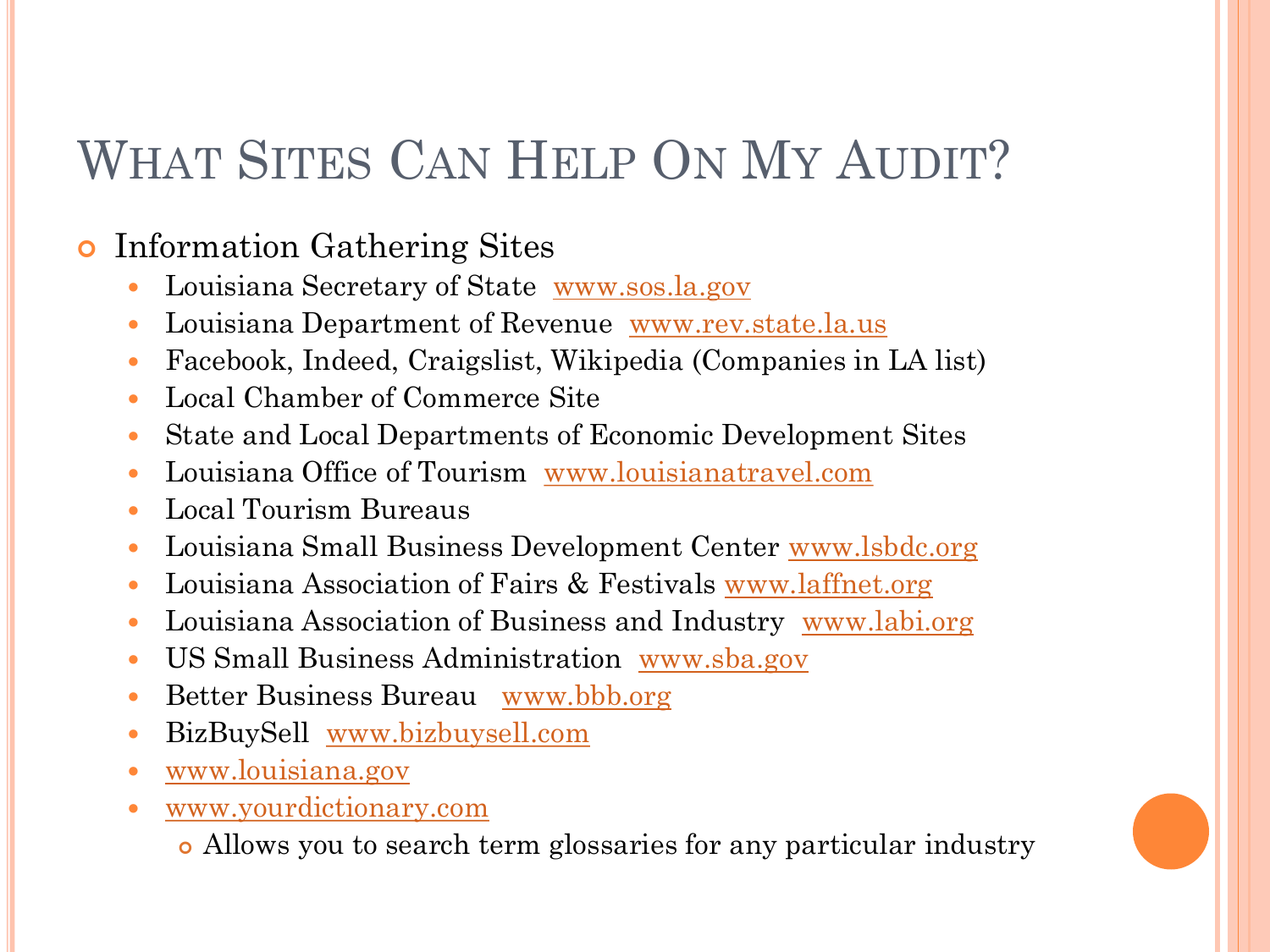# WHAT SITES CAN HELP ON MY AUDIT?

### **o** Information Gathering Sites

- Louisiana Secretary of State [www.sos.la.gov](http://www.sos.la.gov/)
- Louisiana Department of Revenue [www.rev.state.la.us](http://www.rev.state.la.us/)
- Facebook, Indeed, Craigslist, Wikipedia (Companies in LA list)
- Local Chamber of Commerce Site
- State and Local Departments of Economic Development Sites
- Louisiana Office of Tourism [www.louisianatravel.com](http://www.louisianatravel.com/)
- Local Tourism Bureaus
- Louisiana Small Business Development Center [www.lsbdc.org](http://www.lsbdc.org/)
- Louisiana Association of Fairs & Festivals [www.laffnet.org](http://www.laffnet.org/)
- Louisiana Association of Business and Industry [www.labi.org](http://www.labi.org/)
- US Small Business Administration [www.sba.gov](http://www.sba.gov/)
- Better Business Bureau [www.bbb.org](http://www.bbb.org/)
- BizBuySell [www.bizbuysell.com](http://www.bizbuysell.com/)
- [www.louisiana.gov](http://www.louisiana.gov/)
- [www.yourdictionary.com](http://www.yourdictionary.com/)
	- Allows you to search term glossaries for any particular industry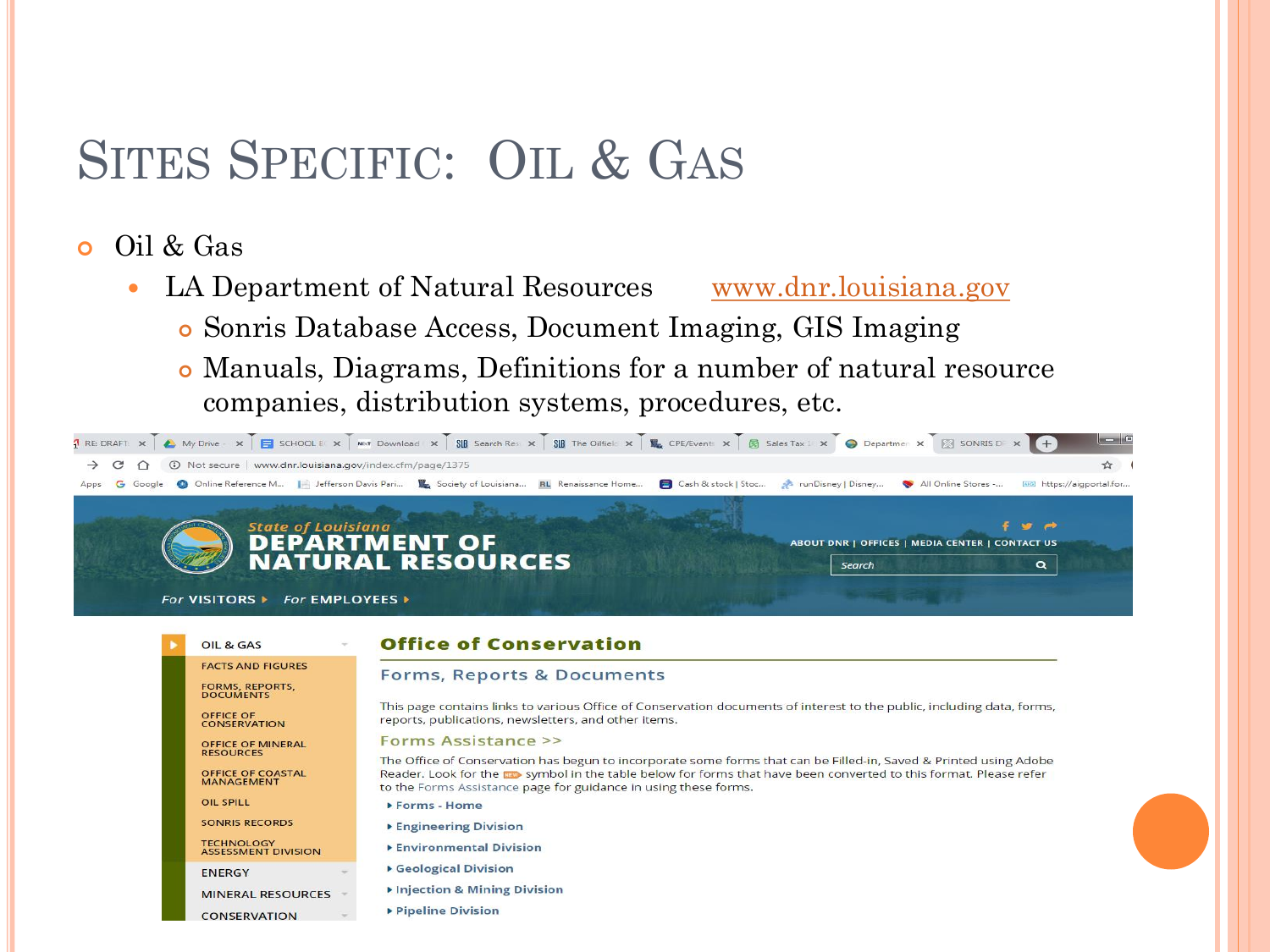## SITES SPECIFIC: OIL & GAS

### Oil & Gas

OIL & GAS **FACTS AND FIGURES** 

**OFFICE OF** 

**OIL SPILL** 

**ENERGY** 

FORMS, REPORTS,<br>DOCUMENTS

**CONSERVATION** 

**OFFICE OF MINERAL RESOURCES** 

OFFICE OF COASTAL<br>MANAGEMENT

**SONRIS RECORDS** 

**CONSERVATION** 

TECHNOLOGY<br>ASSESSMENT DIVISION

**MINERAL RESOURCES** 

- LA Department of Natural Resources [www.dnr.louisiana.gov](http://www.dnr.louisiana.gov/)
	- Sonris Database Access, Document Imaging, GIS Imaging
	- Manuals, Diagrams, Definitions for a number of natural resource companies, distribution systems, procedures, etc.



### **Office of Conservation**

#### **Forms, Reports & Documents**

This page contains links to various Office of Conservation documents of interest to the public, including data, forms, reports, publications, newsletters, and other items.

#### Forms Assistance >>

The Office of Conservation has begun to incorporate some forms that can be Filled-in, Saved & Printed using Adobe Reader. Look for the assessme of in the table below for forms that have been converted to this format. Please refer to the Forms Assistance page for guidance in using these forms.

- ▶ Forms Home
- ▶ Engineering Division
- ▶ Environmental Division
- Geological Division
- Injection & Mining Division
- ▶ Pipeline Division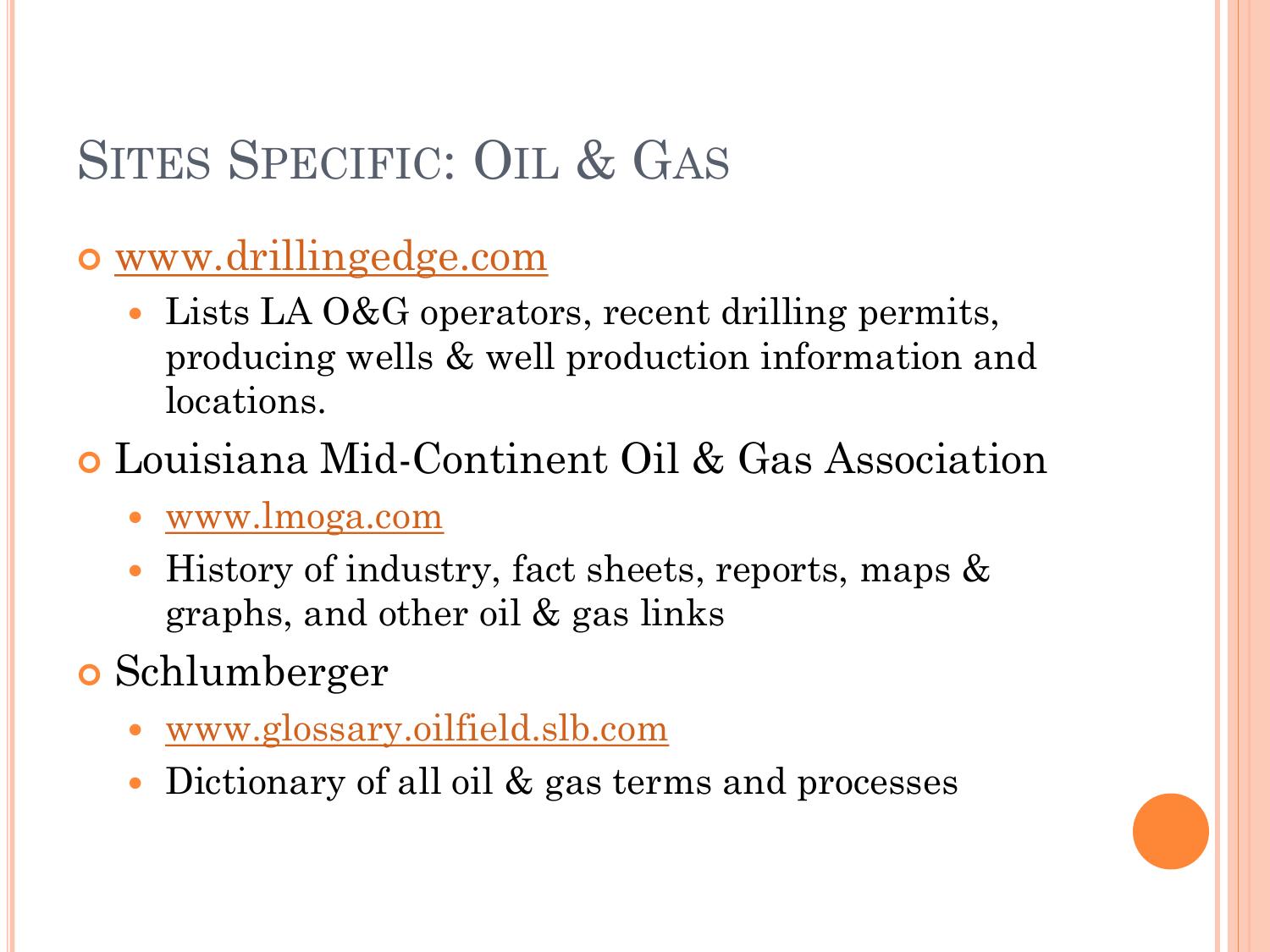# SITES SPECIFIC: OIL & GAS

### [www.drillingedge.com](http://www.drillingedge.com/)

• Lists LA O&G operators, recent drilling permits, producing wells & well production information and locations.

### Louisiana Mid-Continent Oil & Gas Association

- [www.lmoga.com](http://www.lmoga.com/)
- History of industry, fact sheets, reports, maps & graphs, and other oil & gas links

### **o** Schlumberger

- [www.glossary.oilfield.slb.com](http://www.glossary.oilfield.slb.com/)
- Dictionary of all oil & gas terms and processes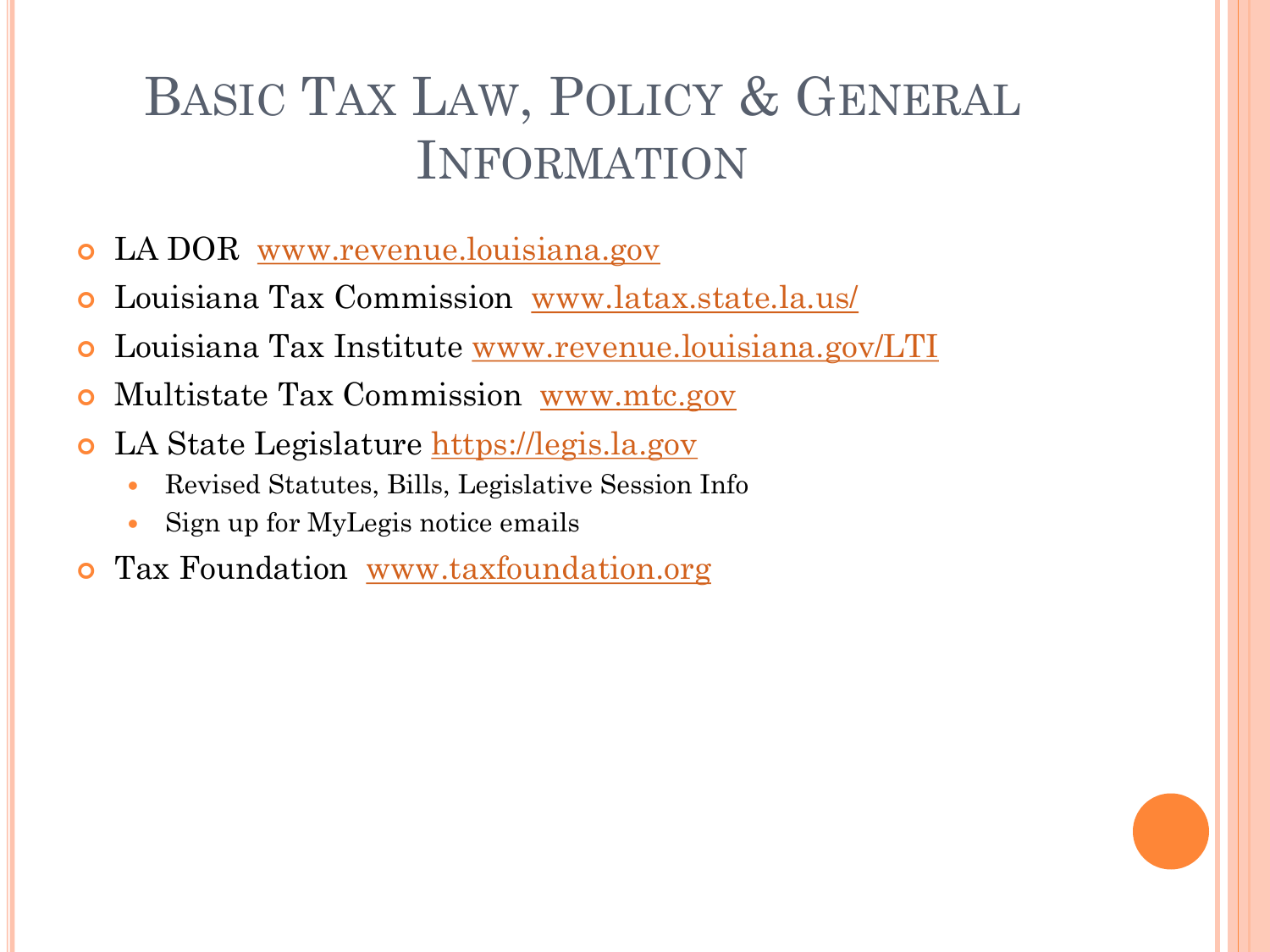# BASIC TAX LAW, POLICY & GENERAL INFORMATION

- LA DOR [www.revenue.louisiana.gov](http://www.revenue.louisiana.gov/)
- Louisiana Tax Commission [www.latax.state.la.us/](http://www.latax.state.la.us/)
- Louisiana Tax Institute [www.revenue.louisiana.gov/LTI](http://www.revenue.louisiana.gov/LTI)
- Multistate Tax Commission [www.mtc.gov](http://www.mtc.gov/)
- **o** LA State Legislature [https://legis.la.gov](https://legis.la.gov/)
	- Revised Statutes, Bills, Legislative Session Info
	- Sign up for MyLegis notice emails
- **o** Tax Foundation [www.taxfoundation.org](http://www.taxfoundation.org/)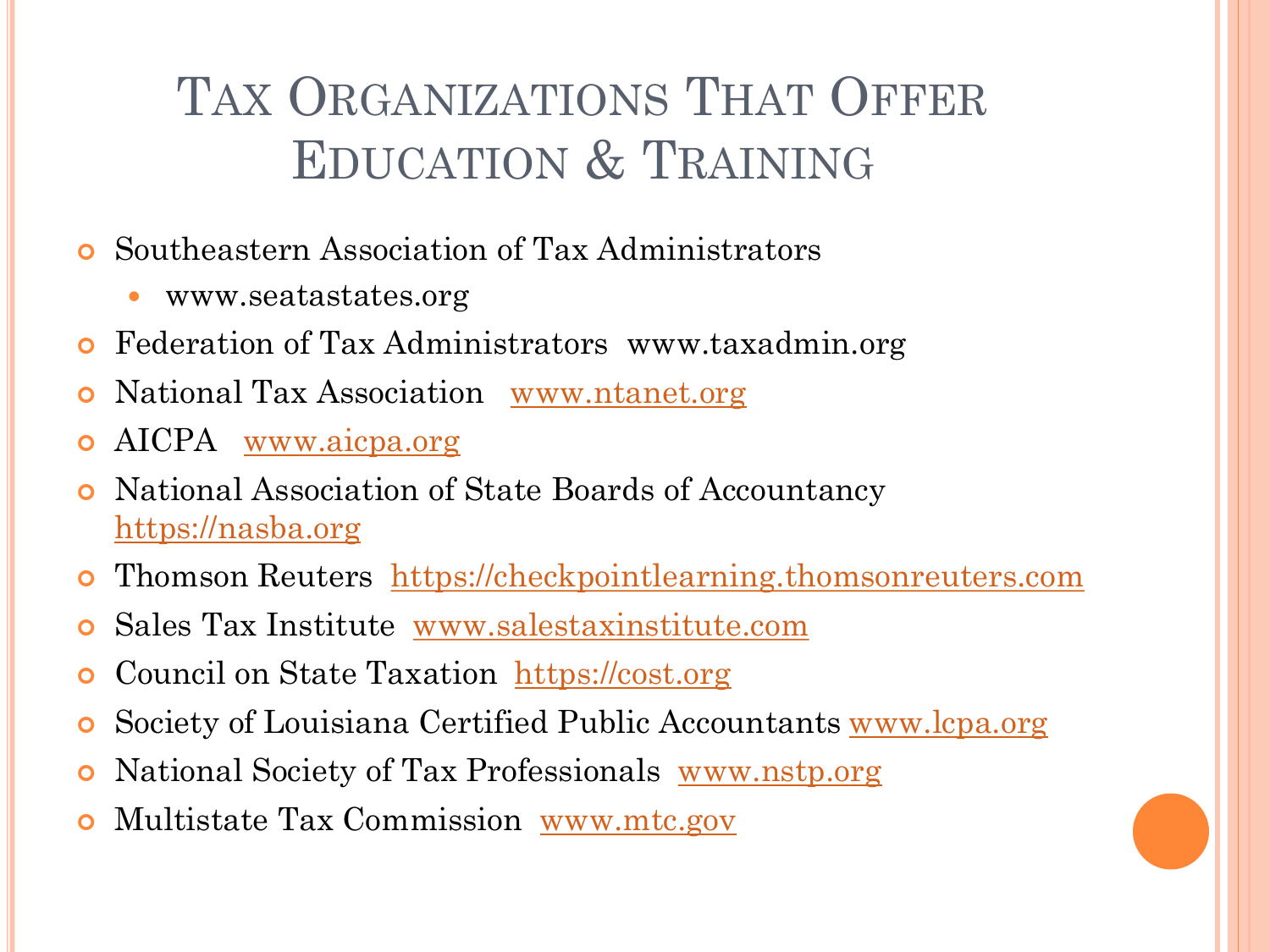# TAX ORGANIZATIONS THAT OFFER EDUCATION & TRAINING

- Southeastern Association of Tax Administrators
	- www.seatastates.org
- Federation of Tax Administrators www.taxadmin.org
- National Tax Association [www.ntanet.org](http://www.ntanet.org/)
- AICPA [www.aicpa.org](http://www.aicpa.org/)
- National Association of State Boards of Accountancy [https://nasba.org](https://nasba.org/)
- Thomson Reuters [https://checkpointlearning.thomsonreuters.com](https://checkpointlearning.thomsonreuters.com/)
- Sales Tax Institute [www.salestaxinstitute.com](http://www.salestaxinstitute.com/)
- Council on State Taxation [https://cost.org](https://cost.org/)
- Society of Louisiana Certified Public Accountants [www.lcpa.org](http://www.lcpa.org/)
- National Society of Tax Professionals [www.nstp.org](http://www.nstp.org/)
- Multistate Tax Commission [www.mtc.gov](http://www.mtc.gov/)